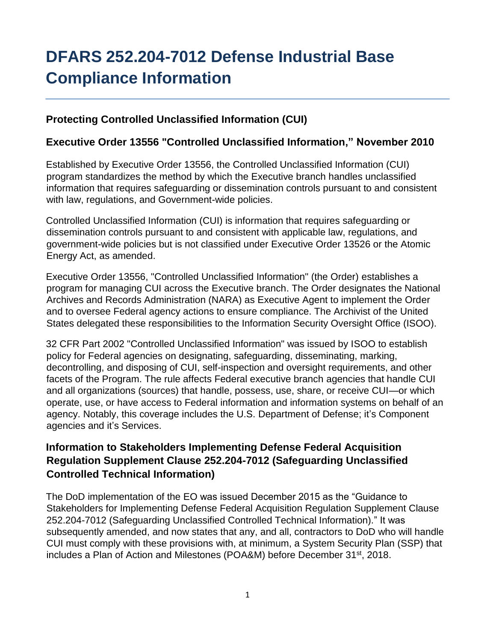# **DFARS 252.204-7012 Defense Industrial Base Compliance Information**

## **Protecting Controlled Unclassified Information (CUI)**

#### **Executive Order 13556 "Controlled Unclassified Information," November 2010**

Established by Executive Order 13556, the Controlled Unclassified Information (CUI) program standardizes the method by which the Executive branch handles unclassified information that requires safeguarding or dissemination controls pursuant to and consistent with law, regulations, and Government-wide policies.

Controlled Unclassified Information (CUI) is information that requires safeguarding or dissemination controls pursuant to and consistent with applicable law, regulations, and government-wide policies but is not classified under Executive Order 13526 or the Atomic Energy Act, as amended.

Executive Order 13556, "Controlled Unclassified Information" (the Order) establishes a program for managing CUI across the Executive branch. The Order designates the National Archives and Records Administration (NARA) as Executive Agent to implement the Order and to oversee Federal agency actions to ensure compliance. The Archivist of the United States delegated these responsibilities to the Information Security Oversight Office (ISOO).

32 CFR Part 2002 "Controlled Unclassified Information" was issued by ISOO to establish policy for Federal agencies on designating, safeguarding, disseminating, marking, decontrolling, and disposing of CUI, self-inspection and oversight requirements, and other facets of the Program. The rule affects Federal executive branch agencies that handle CUI and all organizations (sources) that handle, possess, use, share, or receive CUI—or which operate, use, or have access to Federal information and information systems on behalf of an agency. Notably, this coverage includes the U.S. Department of Defense; it's Component agencies and it's Services.

# **Information to Stakeholders Implementing Defense Federal Acquisition Regulation Supplement Clause 252.204-7012 (Safeguarding Unclassified Controlled Technical Information)**

The DoD implementation of the EO was issued December 2015 as the "Guidance to Stakeholders for Implementing Defense Federal Acquisition Regulation Supplement Clause 252.204-7012 (Safeguarding Unclassified Controlled Technical Information)." It was subsequently amended, and now states that any, and all, contractors to DoD who will handle CUI must comply with these provisions with, at minimum, a System Security Plan (SSP) that includes a Plan of Action and Milestones (POA&M) before December 31st, 2018.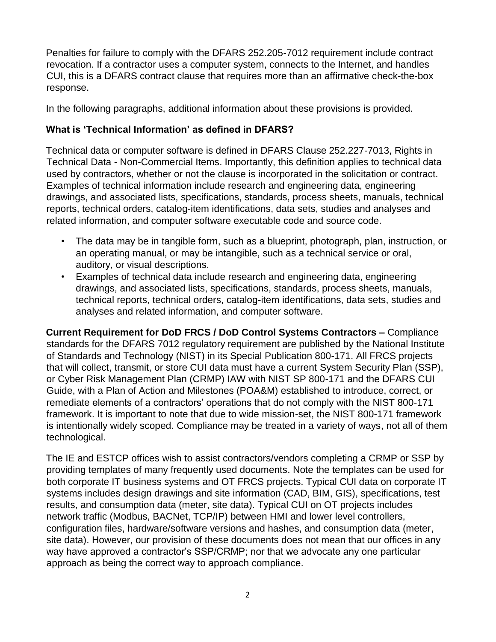Penalties for failure to comply with the DFARS 252.205-7012 requirement include contract revocation. If a contractor uses a computer system, connects to the Internet, and handles CUI, this is a DFARS contract clause that requires more than an affirmative check-the-box response.

In the following paragraphs, additional information about these provisions is provided.

#### **What is 'Technical Information' as defined in DFARS?**

Technical data or computer software is defined in DFARS Clause 252.227-7013, Rights in Technical Data - Non-Commercial Items. Importantly, this definition applies to technical data used by contractors, whether or not the clause is incorporated in the solicitation or contract. Examples of technical information include research and engineering data, engineering drawings, and associated lists, specifications, standards, process sheets, manuals, technical reports, technical orders, catalog-item identifications, data sets, studies and analyses and related information, and computer software executable code and source code.

- The data may be in tangible form, such as a blueprint, photograph, plan, instruction, or an operating manual, or may be intangible, such as a technical service or oral, auditory, or visual descriptions.
- Examples of technical data include research and engineering data, engineering drawings, and associated lists, specifications, standards, process sheets, manuals, technical reports, technical orders, catalog-item identifications, data sets, studies and analyses and related information, and computer software.

**Current Requirement for DoD FRCS / DoD Control Systems Contractors –** Compliance standards for the DFARS 7012 regulatory requirement are published by the National Institute of Standards and Technology (NIST) in its Special Publication 800-171. All FRCS projects that will collect, transmit, or store CUI data must have a current System Security Plan (SSP), or Cyber Risk Management Plan (CRMP) IAW with NIST SP 800-171 and the DFARS CUI Guide, with a Plan of Action and Milestones (POA&M) established to introduce, correct, or remediate elements of a contractors' operations that do not comply with the NIST 800-171 framework. It is important to note that due to wide mission-set, the NIST 800-171 framework is intentionally widely scoped. Compliance may be treated in a variety of ways, not all of them technological.

The IE and ESTCP offices wish to assist contractors/vendors completing a CRMP or SSP by providing templates of many frequently used documents. Note the templates can be used for both corporate IT business systems and OT FRCS projects. Typical CUI data on corporate IT systems includes design drawings and site information (CAD, BIM, GIS), specifications, test results, and consumption data (meter, site data). Typical CUI on OT projects includes network traffic (Modbus, BACNet, TCP/IP) between HMI and lower level controllers, configuration files, hardware/software versions and hashes, and consumption data (meter, site data). However, our provision of these documents does not mean that our offices in any way have approved a contractor's SSP/CRMP; nor that we advocate any one particular approach as being the correct way to approach compliance.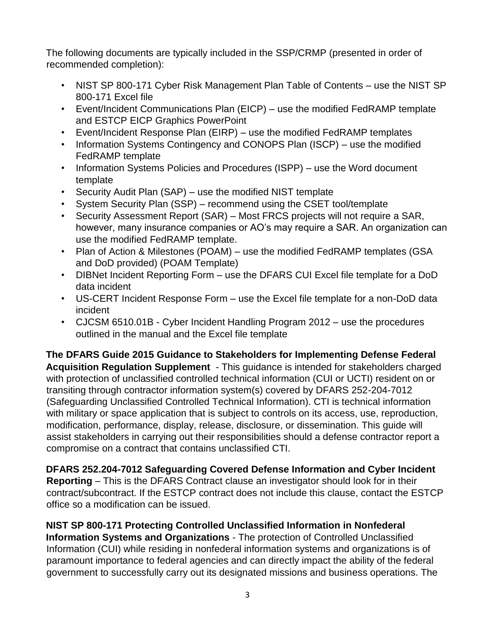The following documents are typically included in the SSP/CRMP (presented in order of recommended completion):

- NIST SP 800-171 Cyber Risk Management Plan Table of Contents use the NIST SP 800-171 Excel file
- Event/Incident Communications Plan (EICP) use the modified FedRAMP template and ESTCP EICP Graphics PowerPoint
- Event/Incident Response Plan (EIRP) use the modified FedRAMP templates
- Information Systems Contingency and CONOPS Plan (ISCP) use the modified FedRAMP template
- Information Systems Policies and Procedures (ISPP) use the Word document template
- Security Audit Plan (SAP) use the modified NIST template
- System Security Plan (SSP) recommend using the CSET tool/template
- Security Assessment Report (SAR) Most FRCS projects will not require a SAR, however, many insurance companies or AO's may require a SAR. An organization can use the modified FedRAMP template.
- Plan of Action & Milestones (POAM) use the modified FedRAMP templates (GSA and DoD provided) (POAM Template)
- DIBNet Incident Reporting Form use the DFARS CUI Excel file template for a DoD data incident
- US-CERT Incident Response Form use the Excel file template for a non-DoD data incident
- CJCSM 6510.01B Cyber Incident Handling Program 2012 use the procedures outlined in the manual and the Excel file template

**The DFARS Guide 2015 Guidance to Stakeholders for Implementing Defense Federal Acquisition Regulation Supplement** - This guidance is intended for stakeholders charged with protection of unclassified controlled technical information (CUI or UCTI) resident on or transiting through contractor information system(s) covered by DFARS 252-204-7012 (Safeguarding Unclassified Controlled Technical Information). CTI is technical information with military or space application that is subject to controls on its access, use, reproduction, modification, performance, display, release, disclosure, or dissemination. This guide will assist stakeholders in carrying out their responsibilities should a defense contractor report a compromise on a contract that contains unclassified CTI.

**DFARS 252.204-7012 Safeguarding Covered Defense Information and Cyber Incident Reporting** – This is the DFARS Contract clause an investigator should look for in their contract/subcontract. If the ESTCP contract does not include this clause, contact the ESTCP office so a modification can be issued.

**NIST SP 800-171 Protecting Controlled Unclassified Information in Nonfederal Information Systems and Organizations** - The protection of Controlled Unclassified Information (CUI) while residing in nonfederal information systems and organizations is of paramount importance to federal agencies and can directly impact the ability of the federal government to successfully carry out its designated missions and business operations. The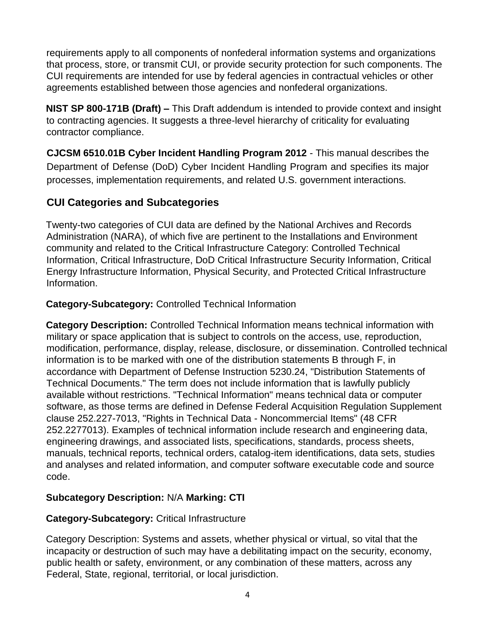requirements apply to all components of nonfederal information systems and organizations that process, store, or transmit CUI, or provide security protection for such components. The CUI requirements are intended for use by federal agencies in contractual vehicles or other agreements established between those agencies and nonfederal organizations.

**NIST SP 800-171B (Draft) –** This Draft addendum is intended to provide context and insight to contracting agencies. It suggests a three-level hierarchy of criticality for evaluating contractor compliance.

**CJCSM 6510.01B Cyber Incident Handling Program 2012** - This manual describes the Department of Defense (DoD) Cyber Incident Handling Program and specifies its major processes, implementation requirements, and related U.S. government interactions.

# **CUI Categories and Subcategories**

Twenty-two categories of CUI data are defined by the National Archives and Records Administration (NARA), of which five are pertinent to the Installations and Environment community and related to the Critical Infrastructure Category: Controlled Technical Information, Critical Infrastructure, DoD Critical Infrastructure Security Information, Critical Energy Infrastructure Information, Physical Security, and Protected Critical Infrastructure Information.

## **Category-Subcategory:** Controlled Technical Information

**Category Description:** Controlled Technical Information means technical information with military or space application that is subject to controls on the access, use, reproduction, modification, performance, display, release, disclosure, or dissemination. Controlled technical information is to be marked with one of the distribution statements B through F, in accordance with Department of Defense Instruction 5230.24, "Distribution Statements of Technical Documents." The term does not include information that is lawfully publicly available without restrictions. "Technical Information" means technical data or computer software, as those terms are defined in Defense Federal Acquisition Regulation Supplement clause 252.227-7013, "Rights in Technical Data - Noncommercial Items" (48 CFR 252.2277013). Examples of technical information include research and engineering data, engineering drawings, and associated lists, specifications, standards, process sheets, manuals, technical reports, technical orders, catalog-item identifications, data sets, studies and analyses and related information, and computer software executable code and source code.

## **Subcategory Description:** N/A **Marking: CTI**

## **Category-Subcategory:** Critical Infrastructure

Category Description: Systems and assets, whether physical or virtual, so vital that the incapacity or destruction of such may have a debilitating impact on the security, economy, public health or safety, environment, or any combination of these matters, across any Federal, State, regional, territorial, or local jurisdiction.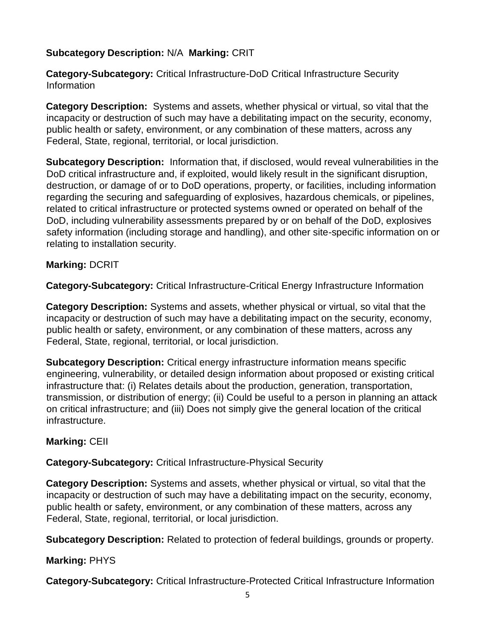#### **Subcategory Description:** N/A **Marking:** CRIT

**Category-Subcategory:** Critical Infrastructure-DoD Critical Infrastructure Security Information

**Category Description:** Systems and assets, whether physical or virtual, so vital that the incapacity or destruction of such may have a debilitating impact on the security, economy, public health or safety, environment, or any combination of these matters, across any Federal, State, regional, territorial, or local jurisdiction.

**Subcategory Description:** Information that, if disclosed, would reveal vulnerabilities in the DoD critical infrastructure and, if exploited, would likely result in the significant disruption, destruction, or damage of or to DoD operations, property, or facilities, including information regarding the securing and safeguarding of explosives, hazardous chemicals, or pipelines, related to critical infrastructure or protected systems owned or operated on behalf of the DoD, including vulnerability assessments prepared by or on behalf of the DoD, explosives safety information (including storage and handling), and other site-specific information on or relating to installation security.

#### **Marking:** DCRIT

**Category-Subcategory:** Critical Infrastructure-Critical Energy Infrastructure Information

**Category Description:** Systems and assets, whether physical or virtual, so vital that the incapacity or destruction of such may have a debilitating impact on the security, economy, public health or safety, environment, or any combination of these matters, across any Federal, State, regional, territorial, or local jurisdiction.

**Subcategory Description:** Critical energy infrastructure information means specific engineering, vulnerability, or detailed design information about proposed or existing critical infrastructure that: (i) Relates details about the production, generation, transportation, transmission, or distribution of energy; (ii) Could be useful to a person in planning an attack on critical infrastructure; and (iii) Does not simply give the general location of the critical infrastructure.

#### **Marking:** CEII

#### **Category-Subcategory:** Critical Infrastructure-Physical Security

**Category Description:** Systems and assets, whether physical or virtual, so vital that the incapacity or destruction of such may have a debilitating impact on the security, economy, public health or safety, environment, or any combination of these matters, across any Federal, State, regional, territorial, or local jurisdiction.

**Subcategory Description:** Related to protection of federal buildings, grounds or property.

#### **Marking:** PHYS

**Category-Subcategory:** Critical Infrastructure-Protected Critical Infrastructure Information